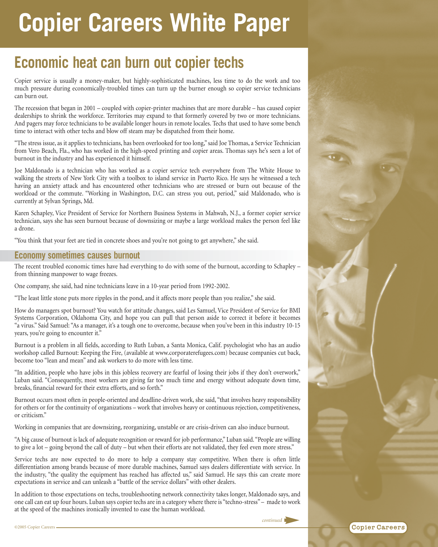## **Copier Careers White Paper**

## **Economic heat can burn out copier techs**

Copier service is usually a money-maker, but highly-sophisticated machines, less time to do the work and too much pressure during economically-troubled times can turn up the burner enough so copier service technicians can burn out.

The recession that began in 2001 – coupled with copier-printer machines that are more durable – has caused copier dealerships to shrink the workforce. Territories may expand to that formerly covered by two or more technicians. And pagers may force technicians to be available longer hours in remote locales. Techs that used to have some bench time to interact with other techs and blow off steam may be dispatched from their home.

"The stress issue, as it applies to technicians, has been overlooked for too long," said Joe Thomas, a Service Technician from Vero Beach, Fla., who has worked in the high-speed printing and copier areas. Thomas says he's seen a lot of burnout in the industry and has experienced it himself.

Joe Maldonado is a technician who has worked as a copier service tech everywhere from The White House to walking the streets of New York City with a toolbox to island service in Puerto Rico. He says he witnessed a tech having an anxiety attack and has encountered other technicians who are stressed or burn out because of the workload or the commute. "Working in Washington, D.C. can stress you out, period," said Maldonado, who is currently at Sylvan Springs, Md.

Karen Schapley, Vice President of Service for Northern Business Systems in Mahwah, N.J., a former copier service technician, says she has seen burnout because of downsizing or maybe a large workload makes the person feel like a drone.

"You think that your feet are tied in concrete shoes and you're not going to get anywhere," she said.

## **Economy sometimes causes burnout**

The recent troubled economic times have had everything to do with some of the burnout, according to Schapley – from thinning manpower to wage freezes.

One company, she said, had nine technicians leave in a 10-year period from 1992-2002.

"The least little stone puts more ripples in the pond, and it affects more people than you realize," she said.

How do managers spot burnout? You watch for attitude changes, said Les Samuel, Vice President of Service for BMI Systems Corporation, Oklahoma City, and hope you can pull that person aside to correct it before it becomes "a virus." Said Samuel: "As a manager, it's a tough one to overcome, because when you've been in this industry 10-15 years, you're going to encounter it."

Burnout is a problem in all fields, according to Ruth Luban, a Santa Monica, Calif. psychologist who has an audio workshop called Burnout: Keeping the Fire, (available at www.corporaterefugees.com) because companies cut back, become too "lean and mean" and ask workers to do more with less time.

"In addition, people who have jobs in this jobless recovery are fearful of losing their jobs if they don't overwork," Luban said. "Consequently, most workers are giving far too much time and energy without adequate down time, breaks, financial reward for their extra efforts, and so forth."

Burnout occurs most often in people-oriented and deadline-driven work, she said, "that involves heavy responsibility for others or for the continuity of organizations – work that involves heavy or continuous rejection, competitiveness, or criticism."

Working in companies that are downsizing, reorganizing, unstable or are crisis-driven can also induce burnout.

"A big cause of burnout is lack of adequate recognition or reward for job performance," Luban said. "People are willing to give a lot – going beyond the call of duty – but when their efforts are not validated, they feel even more stress."

Service techs are now expected to do more to help a company stay competitive. When there is often little differentiation among brands because of more durable machines, Samuel says dealers differentiate with service. In the industry, "the quality the equipment has reached has affected us," said Samuel. He says this can create more expectations in service and can unleash a "battle of the service dollars" with other dealers.

In addition to those expectations on techs, troubleshooting network connectivity takes longer, Maldonado says, and one call can eat up four hours. Luban says copier techs are in a category where there is "techno-stress" – made to work at the speed of the machines ironically invented to ease the human workload.

*continued*

**Copier Careers** 

 $\mathbf{G}$